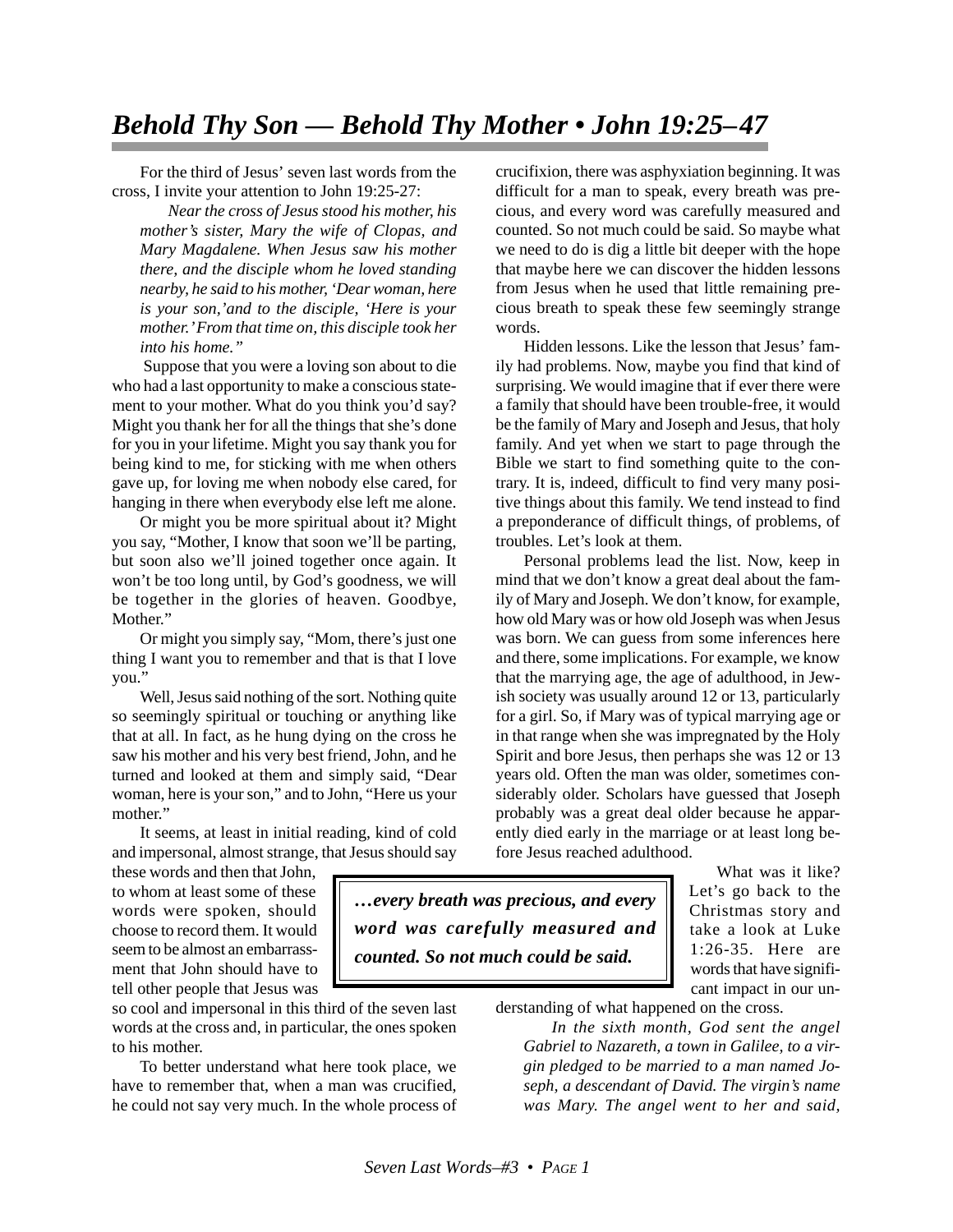## *Behold Thy Son — Behold Thy Mother • John 19:25–47*

For the third of Jesus' seven last words from the cross, I invite your attention to John 19:25-27:

*Near the cross of Jesus stood his mother, his mother's sister, Mary the wife of Clopas, and Mary Magdalene. When Jesus saw his mother there, and the disciple whom he loved standing nearby, he said to his mother, 'Dear woman, here is your son,'and to the disciple, 'Here is your mother.' From that time on, this disciple took her into his home."*

 Suppose that you were a loving son about to die who had a last opportunity to make a conscious statement to your mother. What do you think you'd say? Might you thank her for all the things that she's done for you in your lifetime. Might you say thank you for being kind to me, for sticking with me when others gave up, for loving me when nobody else cared, for hanging in there when everybody else left me alone.

Or might you be more spiritual about it? Might you say, "Mother, I know that soon we'll be parting, but soon also we'll joined together once again. It won't be too long until, by God's goodness, we will be together in the glories of heaven. Goodbye, Mother."

Or might you simply say, "Mom, there's just one thing I want you to remember and that is that I love you."

Well, Jesus said nothing of the sort. Nothing quite so seemingly spiritual or touching or anything like that at all. In fact, as he hung dying on the cross he saw his mother and his very best friend, John, and he turned and looked at them and simply said, "Dear woman, here is your son," and to John, "Here us your mother."

It seems, at least in initial reading, kind of cold and impersonal, almost strange, that Jesus should say

these words and then that John, to whom at least some of these words were spoken, should choose to record them. It would seem to be almost an embarrassment that John should have to tell other people that Jesus was

so cool and impersonal in this third of the seven last words at the cross and, in particular, the ones spoken to his mother.

To better understand what here took place, we have to remember that, when a man was crucified, he could not say very much. In the whole process of crucifixion, there was asphyxiation beginning. It was difficult for a man to speak, every breath was precious, and every word was carefully measured and counted. So not much could be said. So maybe what we need to do is dig a little bit deeper with the hope that maybe here we can discover the hidden lessons from Jesus when he used that little remaining precious breath to speak these few seemingly strange words.

Hidden lessons. Like the lesson that Jesus' family had problems. Now, maybe you find that kind of surprising. We would imagine that if ever there were a family that should have been trouble-free, it would be the family of Mary and Joseph and Jesus, that holy family. And yet when we start to page through the Bible we start to find something quite to the contrary. It is, indeed, difficult to find very many positive things about this family. We tend instead to find a preponderance of difficult things, of problems, of troubles. Let's look at them.

Personal problems lead the list. Now, keep in mind that we don't know a great deal about the family of Mary and Joseph. We don't know, for example, how old Mary was or how old Joseph was when Jesus was born. We can guess from some inferences here and there, some implications. For example, we know that the marrying age, the age of adulthood, in Jewish society was usually around 12 or 13, particularly for a girl. So, if Mary was of typical marrying age or in that range when she was impregnated by the Holy Spirit and bore Jesus, then perhaps she was 12 or 13 years old. Often the man was older, sometimes considerably older. Scholars have guessed that Joseph probably was a great deal older because he apparently died early in the marriage or at least long before Jesus reached adulthood.

*…every breath was precious, and every word was carefully measured and counted. So not much could be said.*

What was it like? Let's go back to the Christmas story and take a look at Luke 1:26-35. Here are words that have significant impact in our un-

derstanding of what happened on the cross.

*In the sixth month, God sent the angel Gabriel to Nazareth, a town in Galilee, to a virgin pledged to be married to a man named Joseph, a descendant of David. The virgin's name was Mary. The angel went to her and said,*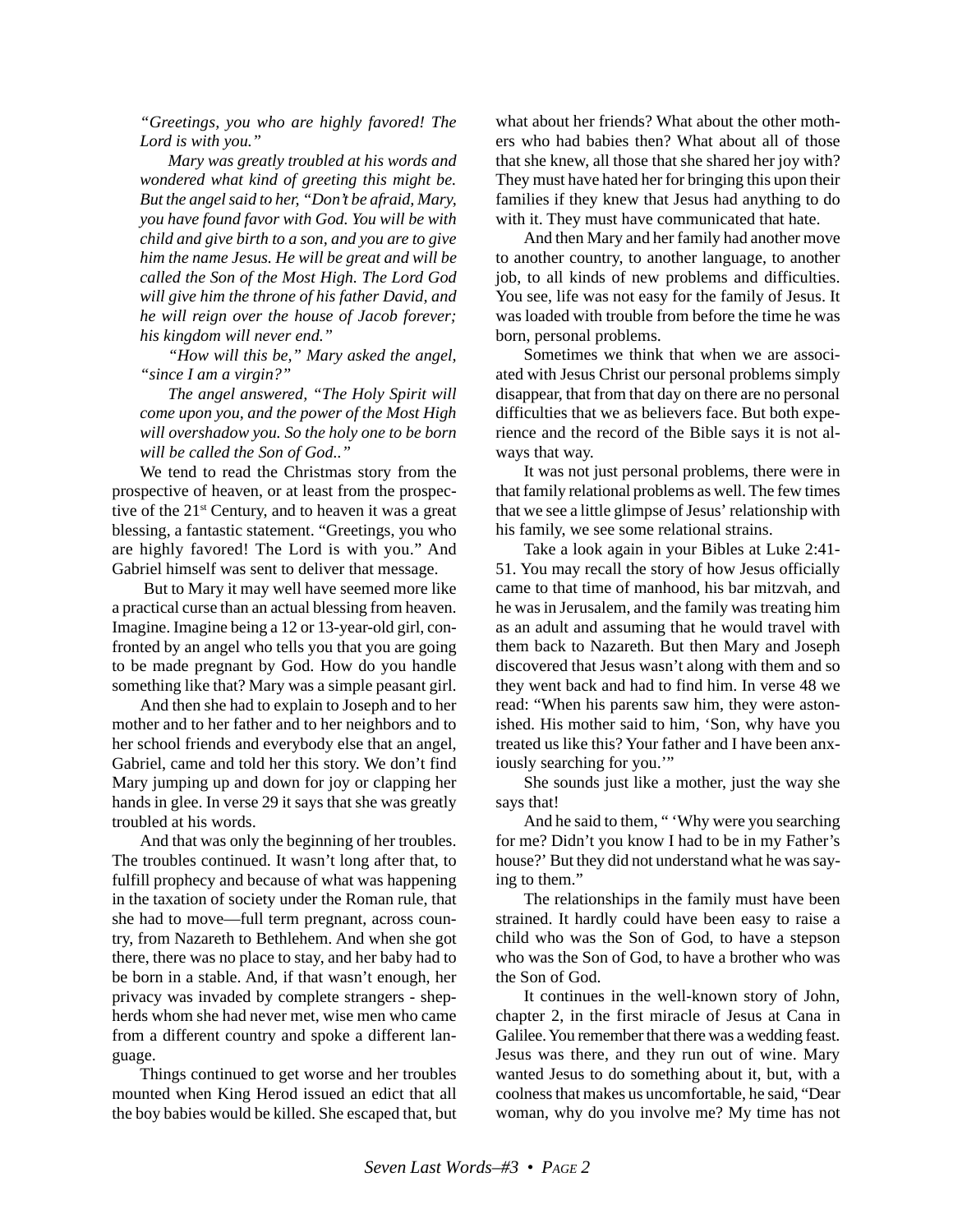*"Greetings, you who are highly favored! The Lord is with you."*

*Mary was greatly troubled at his words and wondered what kind of greeting this might be. But the angel said to her, "Don't be afraid, Mary, you have found favor with God. You will be with child and give birth to a son, and you are to give him the name Jesus. He will be great and will be called the Son of the Most High. The Lord God will give him the throne of his father David, and he will reign over the house of Jacob forever; his kingdom will never end."*

*"How will this be," Mary asked the angel, "since I am a virgin?"*

*The angel answered, "The Holy Spirit will come upon you, and the power of the Most High will overshadow you. So the holy one to be born will be called the Son of God.."*

We tend to read the Christmas story from the prospective of heaven, or at least from the prospective of the  $21<sup>st</sup>$  Century, and to heaven it was a great blessing, a fantastic statement. "Greetings, you who are highly favored! The Lord is with you." And Gabriel himself was sent to deliver that message.

 But to Mary it may well have seemed more like a practical curse than an actual blessing from heaven. Imagine. Imagine being a 12 or 13-year-old girl, confronted by an angel who tells you that you are going to be made pregnant by God. How do you handle something like that? Mary was a simple peasant girl.

And then she had to explain to Joseph and to her mother and to her father and to her neighbors and to her school friends and everybody else that an angel, Gabriel, came and told her this story. We don't find Mary jumping up and down for joy or clapping her hands in glee. In verse 29 it says that she was greatly troubled at his words.

And that was only the beginning of her troubles. The troubles continued. It wasn't long after that, to fulfill prophecy and because of what was happening in the taxation of society under the Roman rule, that she had to move—full term pregnant, across country, from Nazareth to Bethlehem. And when she got there, there was no place to stay, and her baby had to be born in a stable. And, if that wasn't enough, her privacy was invaded by complete strangers - shepherds whom she had never met, wise men who came from a different country and spoke a different language.

Things continued to get worse and her troubles mounted when King Herod issued an edict that all the boy babies would be killed. She escaped that, but what about her friends? What about the other mothers who had babies then? What about all of those that she knew, all those that she shared her joy with? They must have hated her for bringing this upon their families if they knew that Jesus had anything to do with it. They must have communicated that hate.

And then Mary and her family had another move to another country, to another language, to another job, to all kinds of new problems and difficulties. You see, life was not easy for the family of Jesus. It was loaded with trouble from before the time he was born, personal problems.

Sometimes we think that when we are associated with Jesus Christ our personal problems simply disappear, that from that day on there are no personal difficulties that we as believers face. But both experience and the record of the Bible says it is not always that way.

It was not just personal problems, there were in that family relational problems as well. The few times that we see a little glimpse of Jesus' relationship with his family, we see some relational strains.

Take a look again in your Bibles at Luke 2:41- 51. You may recall the story of how Jesus officially came to that time of manhood, his bar mitzvah, and he was in Jerusalem, and the family was treating him as an adult and assuming that he would travel with them back to Nazareth. But then Mary and Joseph discovered that Jesus wasn't along with them and so they went back and had to find him. In verse 48 we read: "When his parents saw him, they were astonished. His mother said to him, 'Son, why have you treated us like this? Your father and I have been anxiously searching for you."

She sounds just like a mother, just the way she says that!

And he said to them, " 'Why were you searching for me? Didn't you know I had to be in my Father's house?' But they did not understand what he was saying to them."

The relationships in the family must have been strained. It hardly could have been easy to raise a child who was the Son of God, to have a stepson who was the Son of God, to have a brother who was the Son of God.

It continues in the well-known story of John, chapter 2, in the first miracle of Jesus at Cana in Galilee. You remember that there was a wedding feast. Jesus was there, and they run out of wine. Mary wanted Jesus to do something about it, but, with a coolness that makes us uncomfortable, he said, "Dear woman, why do you involve me? My time has not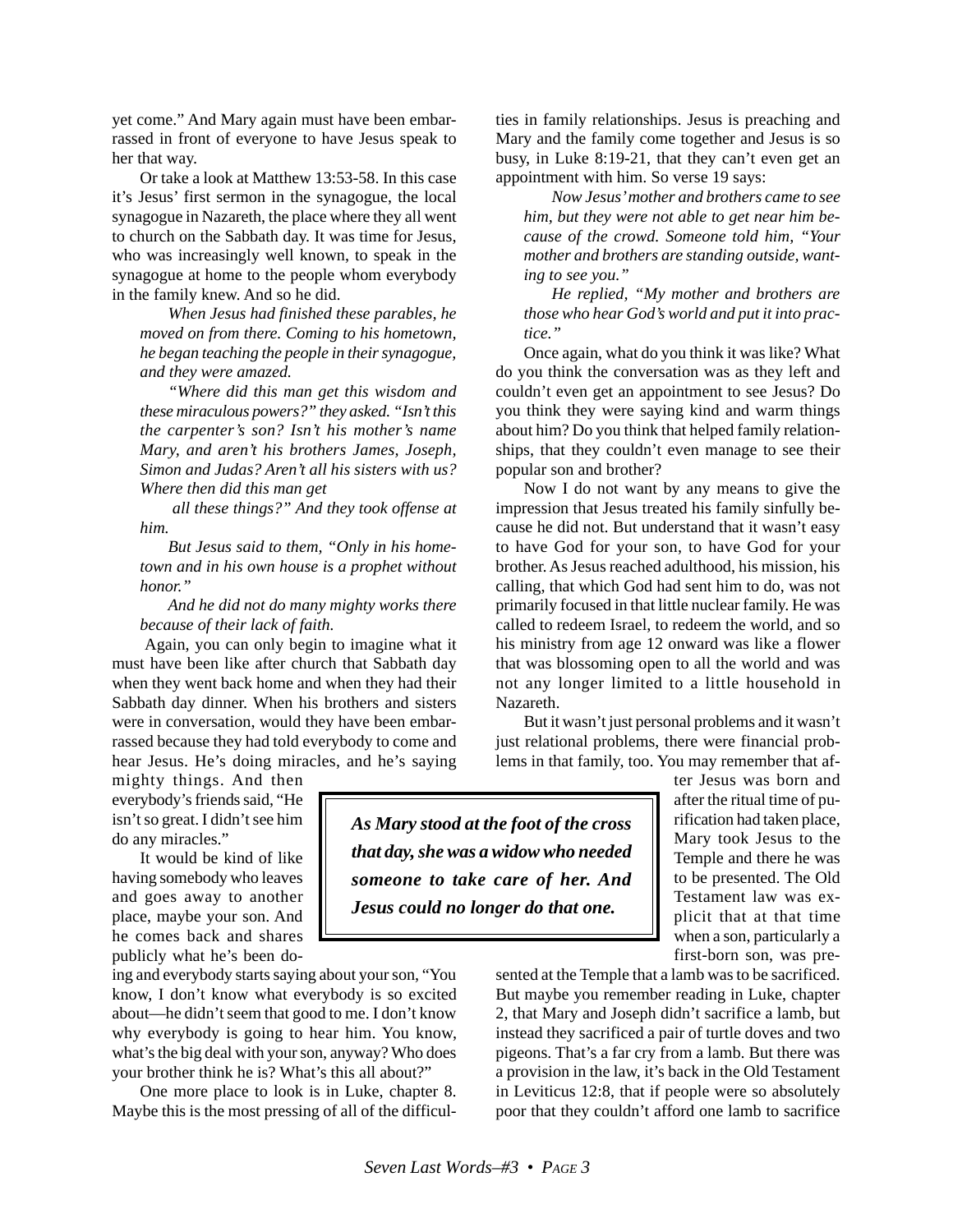yet come." And Mary again must have been embarrassed in front of everyone to have Jesus speak to her that way.

Or take a look at Matthew 13:53-58. In this case it's Jesus' first sermon in the synagogue, the local synagogue in Nazareth, the place where they all went to church on the Sabbath day. It was time for Jesus, who was increasingly well known, to speak in the synagogue at home to the people whom everybody in the family knew. And so he did.

*When Jesus had finished these parables, he moved on from there. Coming to his hometown, he began teaching the people in their synagogue, and they were amazed.*

*"Where did this man get this wisdom and these miraculous powers?" they asked. "Isn't this the carpenter's son? Isn't his mother's name Mary, and aren't his brothers James, Joseph, Simon and Judas? Aren't all his sisters with us? Where then did this man get*

 *all these things?" And they took offense at him.*

*But Jesus said to them, "Only in his hometown and in his own house is a prophet without honor."*

*And he did not do many mighty works there because of their lack of faith.*

 Again, you can only begin to imagine what it must have been like after church that Sabbath day when they went back home and when they had their Sabbath day dinner. When his brothers and sisters were in conversation, would they have been embarrassed because they had told everybody to come and hear Jesus. He's doing miracles, and he's saying

mighty things. And then everybody's friends said, "He isn't so great. I didn't see him do any miracles."

It would be kind of like having somebody who leaves and goes away to another place, maybe your son. And he comes back and shares publicly what he's been do-

ing and everybody starts saying about your son, "You know, I don't know what everybody is so excited about—he didn't seem that good to me. I don't know why everybody is going to hear him. You know, what's the big deal with your son, anyway? Who does your brother think he is? What's this all about?"

One more place to look is in Luke, chapter 8. Maybe this is the most pressing of all of the difficulties in family relationships. Jesus is preaching and Mary and the family come together and Jesus is so busy, in Luke 8:19-21, that they can't even get an appointment with him. So verse 19 says:

*Now Jesus' mother and brothers came to see him, but they were not able to get near him because of the crowd. Someone told him, "Your mother and brothers are standing outside, wanting to see you."*

*He replied, "My mother and brothers are those who hear God's world and put it into practice."*

Once again, what do you think it was like? What do you think the conversation was as they left and couldn't even get an appointment to see Jesus? Do you think they were saying kind and warm things about him? Do you think that helped family relationships, that they couldn't even manage to see their popular son and brother?

Now I do not want by any means to give the impression that Jesus treated his family sinfully because he did not. But understand that it wasn't easy to have God for your son, to have God for your brother. As Jesus reached adulthood, his mission, his calling, that which God had sent him to do, was not primarily focused in that little nuclear family. He was called to redeem Israel, to redeem the world, and so his ministry from age 12 onward was like a flower that was blossoming open to all the world and was not any longer limited to a little household in Nazareth.

But it wasn't just personal problems and it wasn't just relational problems, there were financial problems in that family, too. You may remember that af-

*As Mary stood at the foot of the cross that day, she was a widow who needed someone to take care of her. And Jesus could no longer do that one.*

ter Jesus was born and after the ritual time of purification had taken place, Mary took Jesus to the Temple and there he was to be presented. The Old Testament law was explicit that at that time when a son, particularly a first-born son, was pre-

sented at the Temple that a lamb was to be sacrificed. But maybe you remember reading in Luke, chapter 2, that Mary and Joseph didn't sacrifice a lamb, but instead they sacrificed a pair of turtle doves and two pigeons. That's a far cry from a lamb. But there was a provision in the law, it's back in the Old Testament in Leviticus 12:8, that if people were so absolutely poor that they couldn't afford one lamb to sacrifice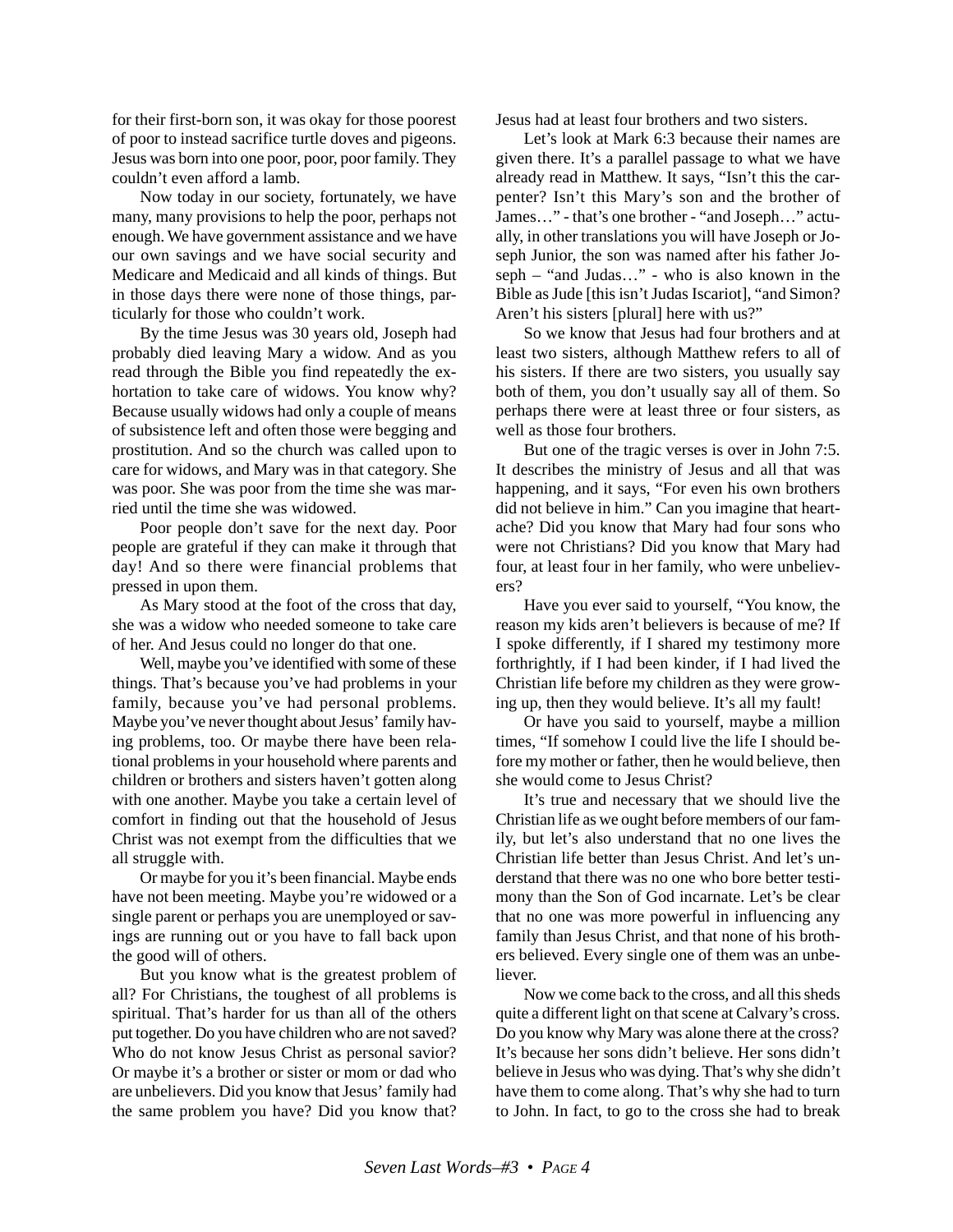for their first-born son, it was okay for those poorest of poor to instead sacrifice turtle doves and pigeons. Jesus was born into one poor, poor, poor family. They couldn't even afford a lamb.

Now today in our society, fortunately, we have many, many provisions to help the poor, perhaps not enough. We have government assistance and we have our own savings and we have social security and Medicare and Medicaid and all kinds of things. But in those days there were none of those things, particularly for those who couldn't work.

By the time Jesus was 30 years old, Joseph had probably died leaving Mary a widow. And as you read through the Bible you find repeatedly the exhortation to take care of widows. You know why? Because usually widows had only a couple of means of subsistence left and often those were begging and prostitution. And so the church was called upon to care for widows, and Mary was in that category. She was poor. She was poor from the time she was married until the time she was widowed.

Poor people don't save for the next day. Poor people are grateful if they can make it through that day! And so there were financial problems that pressed in upon them.

As Mary stood at the foot of the cross that day, she was a widow who needed someone to take care of her. And Jesus could no longer do that one.

Well, maybe you've identified with some of these things. That's because you've had problems in your family, because you've had personal problems. Maybe you've never thought about Jesus' family having problems, too. Or maybe there have been relational problems in your household where parents and children or brothers and sisters haven't gotten along with one another. Maybe you take a certain level of comfort in finding out that the household of Jesus Christ was not exempt from the difficulties that we all struggle with.

Or maybe for you it's been financial. Maybe ends have not been meeting. Maybe you're widowed or a single parent or perhaps you are unemployed or savings are running out or you have to fall back upon the good will of others.

But you know what is the greatest problem of all? For Christians, the toughest of all problems is spiritual. That's harder for us than all of the others put together. Do you have children who are not saved? Who do not know Jesus Christ as personal savior? Or maybe it's a brother or sister or mom or dad who are unbelievers. Did you know that Jesus' family had the same problem you have? Did you know that?

Jesus had at least four brothers and two sisters.

Let's look at Mark 6:3 because their names are given there. It's a parallel passage to what we have already read in Matthew. It says, "Isn't this the carpenter? Isn't this Mary's son and the brother of James…" - that's one brother - "and Joseph…" actually, in other translations you will have Joseph or Joseph Junior, the son was named after his father Joseph – "and Judas…" - who is also known in the Bible as Jude [this isn't Judas Iscariot], "and Simon? Aren't his sisters [plural] here with us?"

So we know that Jesus had four brothers and at least two sisters, although Matthew refers to all of his sisters. If there are two sisters, you usually say both of them, you don't usually say all of them. So perhaps there were at least three or four sisters, as well as those four brothers.

But one of the tragic verses is over in John 7:5. It describes the ministry of Jesus and all that was happening, and it says, "For even his own brothers did not believe in him." Can you imagine that heartache? Did you know that Mary had four sons who were not Christians? Did you know that Mary had four, at least four in her family, who were unbelievers?

Have you ever said to yourself, "You know, the reason my kids aren't believers is because of me? If I spoke differently, if I shared my testimony more forthrightly, if I had been kinder, if I had lived the Christian life before my children as they were growing up, then they would believe. It's all my fault!

Or have you said to yourself, maybe a million times, "If somehow I could live the life I should before my mother or father, then he would believe, then she would come to Jesus Christ?

It's true and necessary that we should live the Christian life as we ought before members of our family, but let's also understand that no one lives the Christian life better than Jesus Christ. And let's understand that there was no one who bore better testimony than the Son of God incarnate. Let's be clear that no one was more powerful in influencing any family than Jesus Christ, and that none of his brothers believed. Every single one of them was an unbeliever.

Now we come back to the cross, and all this sheds quite a different light on that scene at Calvary's cross. Do you know why Mary was alone there at the cross? It's because her sons didn't believe. Her sons didn't believe in Jesus who was dying. That's why she didn't have them to come along. That's why she had to turn to John. In fact, to go to the cross she had to break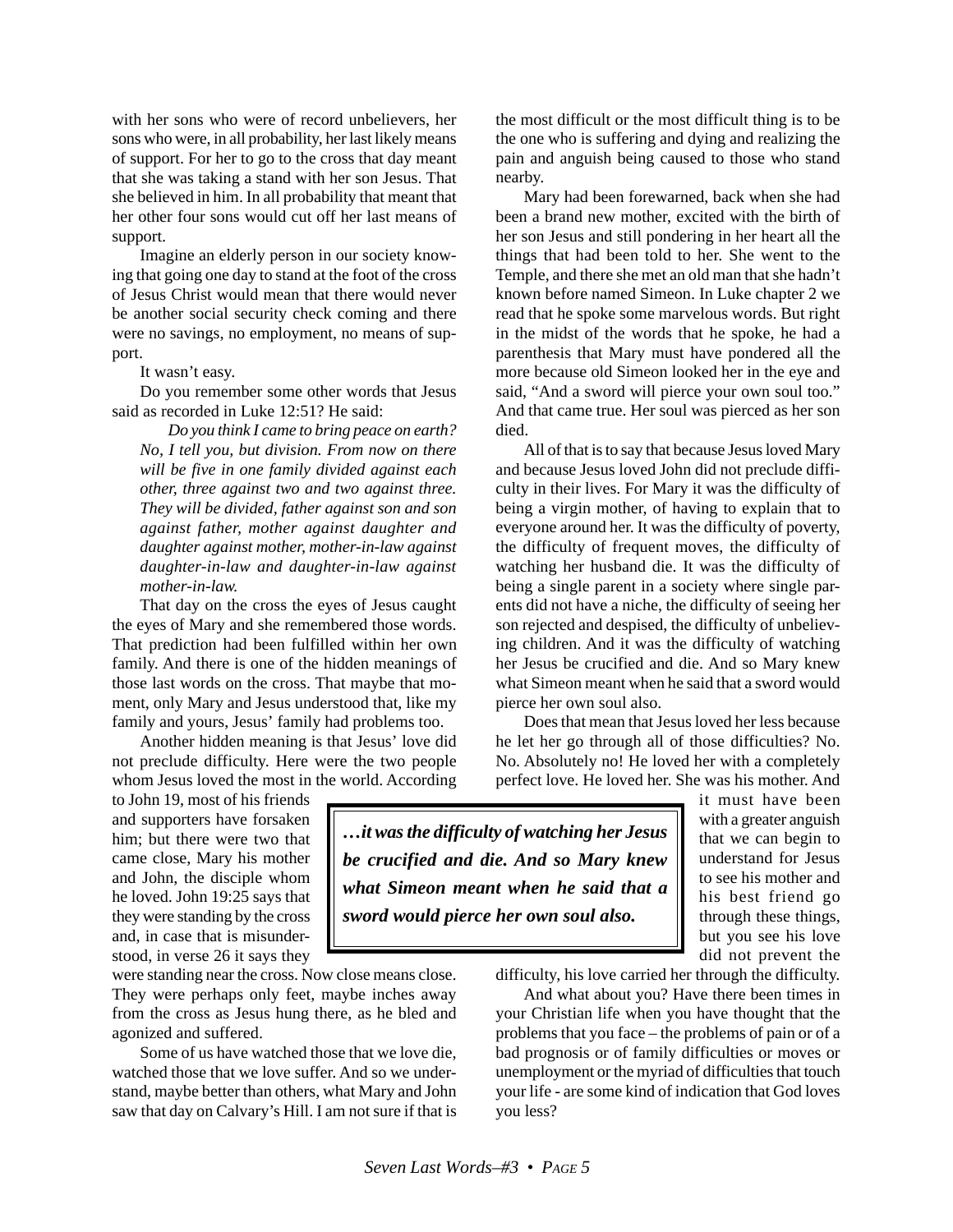with her sons who were of record unbelievers, her sons who were, in all probability, her last likely means of support. For her to go to the cross that day meant that she was taking a stand with her son Jesus. That she believed in him. In all probability that meant that her other four sons would cut off her last means of support.

Imagine an elderly person in our society knowing that going one day to stand at the foot of the cross of Jesus Christ would mean that there would never be another social security check coming and there were no savings, no employment, no means of support.

It wasn't easy.

Do you remember some other words that Jesus said as recorded in Luke 12:51? He said:

*Do you think I came to bring peace on earth? No, I tell you, but division. From now on there will be five in one family divided against each other, three against two and two against three. They will be divided, father against son and son against father, mother against daughter and daughter against mother, mother-in-law against daughter-in-law and daughter-in-law against mother-in-law.*

That day on the cross the eyes of Jesus caught the eyes of Mary and she remembered those words. That prediction had been fulfilled within her own family. And there is one of the hidden meanings of those last words on the cross. That maybe that moment, only Mary and Jesus understood that, like my family and yours, Jesus' family had problems too.

Another hidden meaning is that Jesus' love did not preclude difficulty. Here were the two people whom Jesus loved the most in the world. According

to John 19, most of his friends and supporters have forsaken him; but there were two that came close, Mary his mother and John, the disciple whom he loved. John 19:25 says that they were standing by the cross and, in case that is misunderstood, in verse 26 it says they

were standing near the cross. Now close means close. They were perhaps only feet, maybe inches away from the cross as Jesus hung there, as he bled and agonized and suffered.

Some of us have watched those that we love die, watched those that we love suffer. And so we understand, maybe better than others, what Mary and John saw that day on Calvary's Hill. I am not sure if that is the most difficult or the most difficult thing is to be the one who is suffering and dying and realizing the pain and anguish being caused to those who stand nearby.

Mary had been forewarned, back when she had been a brand new mother, excited with the birth of her son Jesus and still pondering in her heart all the things that had been told to her. She went to the Temple, and there she met an old man that she hadn't known before named Simeon. In Luke chapter 2 we read that he spoke some marvelous words. But right in the midst of the words that he spoke, he had a parenthesis that Mary must have pondered all the more because old Simeon looked her in the eye and said, "And a sword will pierce your own soul too." And that came true. Her soul was pierced as her son died.

All of that is to say that because Jesus loved Mary and because Jesus loved John did not preclude difficulty in their lives. For Mary it was the difficulty of being a virgin mother, of having to explain that to everyone around her. It was the difficulty of poverty, the difficulty of frequent moves, the difficulty of watching her husband die. It was the difficulty of being a single parent in a society where single parents did not have a niche, the difficulty of seeing her son rejected and despised, the difficulty of unbelieving children. And it was the difficulty of watching her Jesus be crucified and die. And so Mary knew what Simeon meant when he said that a sword would pierce her own soul also.

Does that mean that Jesus loved her less because he let her go through all of those difficulties? No. No. Absolutely no! He loved her with a completely perfect love. He loved her. She was his mother. And

*…it was the difficulty of watching her Jesus be crucified and die. And so Mary knew what Simeon meant when he said that a sword would pierce her own soul also.*

it must have been with a greater anguish that we can begin to understand for Jesus to see his mother and his best friend go through these things, but you see his love did not prevent the

difficulty, his love carried her through the difficulty.

And what about you? Have there been times in your Christian life when you have thought that the problems that you face – the problems of pain or of a bad prognosis or of family difficulties or moves or unemployment or the myriad of difficulties that touch your life - are some kind of indication that God loves you less?